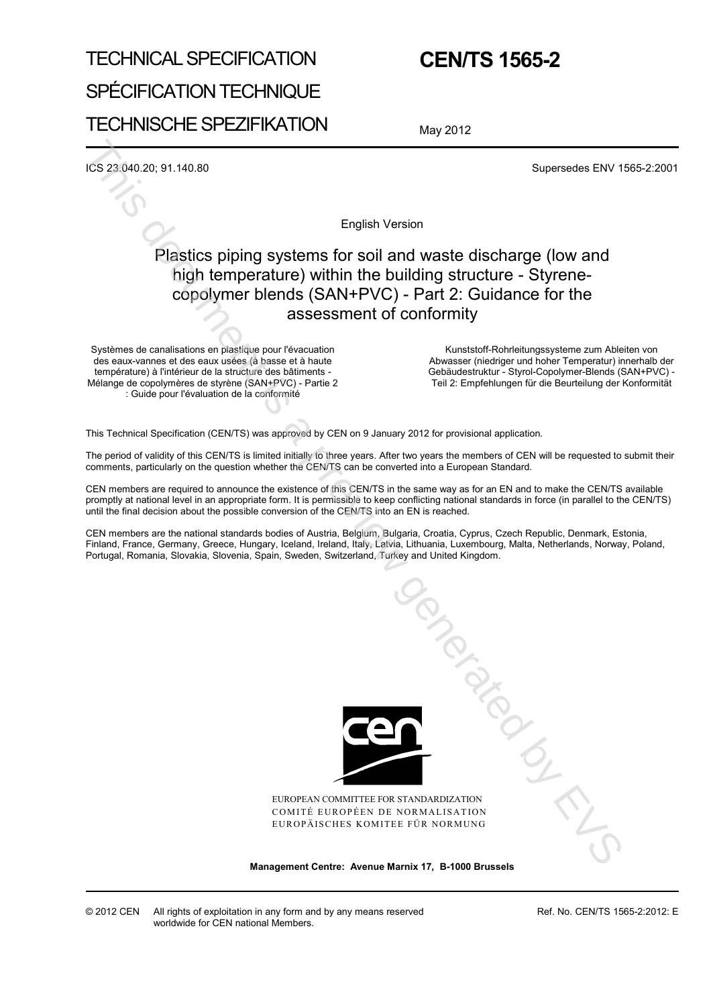# TECHNICAL SPECIFICATION SPÉCIFICATION TECHNIQUE TECHNISCHE SPEZIFIKATION

## **CEN/TS 1565-2**

May 2012

ICS 23.040.20; 91.140.80 Supersedes ENV 1565-2:2001

English Version

## Plastics piping systems for soil and waste discharge (low and high temperature) within the building structure - Styrenecopolymer blends (SAN+PVC) - Part 2: Guidance for the assessment of conformity

Systèmes de canalisations en plastique pour l'évacuation des eaux-vannes et des eaux usées (à basse et à haute température) à l'intérieur de la structure des bâtiments - Mélange de copolymères de styrène (SAN+PVC) - Partie 2 : Guide pour l'évaluation de la conformité

Kunststoff-Rohrleitungssysteme zum Ableiten von Abwasser (niedriger und hoher Temperatur) innerhalb der Gebäudestruktur - Styrol-Copolymer-Blends (SAN+PVC) - Teil 2: Empfehlungen für die Beurteilung der Konformität

This Technical Specification (CEN/TS) was approved by CEN on 9 January 2012 for provisional application.

The period of validity of this CEN/TS is limited initially to three years. After two years the members of CEN will be requested to submit their comments, particularly on the question whether the CEN/TS can be converted into a European Standard.

CEN members are required to announce the existence of this CEN/TS in the same way as for an EN and to make the CEN/TS available promptly at national level in an appropriate form. It is permissible to keep conflicting national standards in force (in parallel to the CEN/TS) until the final decision about the possible conversion of the CEN/TS into an EN is reached.

CEN members are the national standards bodies of Austria, Belgium, Bulgaria, Croatia, Cyprus, Czech Republic, Denmark, Estonia, Finland, France, Germany, Greece, Hungary, Iceland, Ireland, Italy, Latvia, Lithuania, Luxembourg, Malta, Netherlands, Norway, Poland, Portugal, Romania, Slovakia, Slovenia, Spain, Sweden, Switzerland, Turkey and United Kingdom.



EUROPEAN COMMITTEE FOR STANDARDIZATION COMITÉ EUROPÉEN DE NORMALISATION EUROPÄISCHES KOMITEE FÜR NORMUNG

**Management Centre: Avenue Marnix 17, B-1000 Brussels** 

Ref. No. CEN/TS 1565-2:2012: E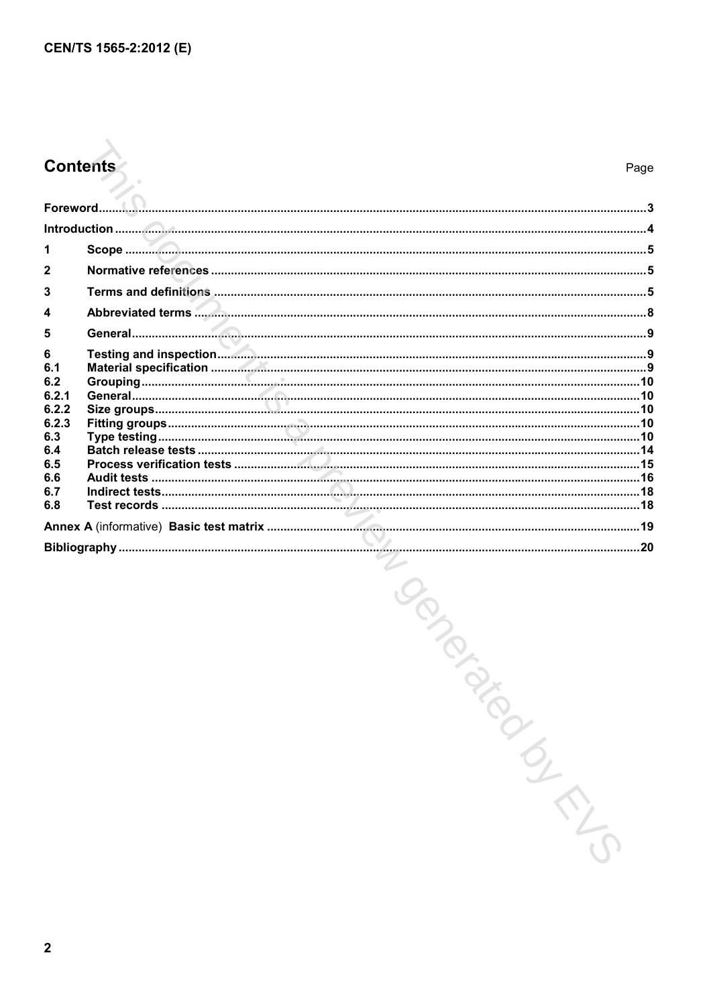## **Contents**

| 3              |  |  |
|----------------|--|--|
| 4              |  |  |
| 5              |  |  |
| 6<br>6.1       |  |  |
| 6.2            |  |  |
| 6.2.1<br>6.2.2 |  |  |
| 6.2.3          |  |  |
| 6.3            |  |  |
| 6.4<br>6.5     |  |  |
| 6.6            |  |  |
| 6.7<br>6.8     |  |  |
|                |  |  |
|                |  |  |

MURICON DIRECTION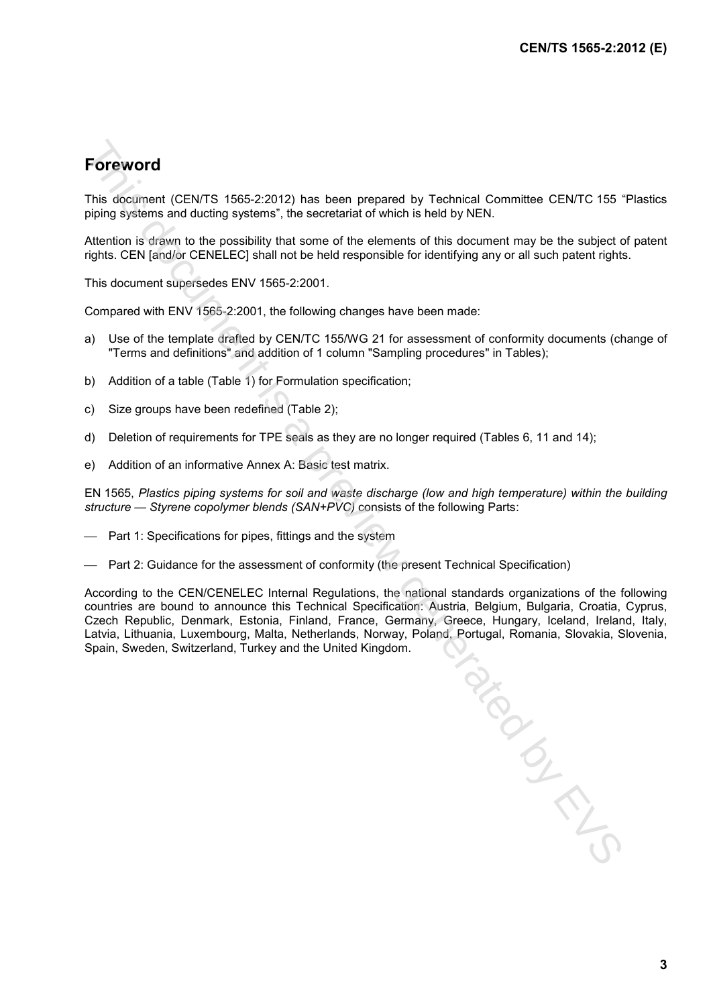## **Foreword**

This document (CEN/TS 1565-2:2012) has been prepared by Technical Committee CEN/TC 155 "Plastics piping systems and ducting systems", the secretariat of which is held by NEN.

Attention is drawn to the possibility that some of the elements of this document may be the subject of patent rights. CEN [and/or CENELEC] shall not be held responsible for identifying any or all such patent rights.

This document supersedes ENV 1565-2:2001.

Compared with ENV 1565-2:2001, the following changes have been made:

- a) Use of the template drafted by CEN/TC 155/WG 21 for assessment of conformity documents (change of "Terms and definitions" and addition of 1 column "Sampling procedures" in Tables);
- b) Addition of a table (Table 1) for Formulation specification;
- c) Size groups have been redefined (Table 2);
- d) Deletion of requirements for TPE seals as they are no longer required (Tables 6, 11 and 14);
- e) Addition of an informative Annex A: Basic test matrix.

EN 1565, *Plastics piping systems for soil and waste discharge (low and high temperature) within the building structure — Styrene copolymer blends (SAN+PVC)* consists of the following Parts:

- Part 1: Specifications for pipes, fittings and the system
- Part 2: Guidance for the assessment of conformity (the present Technical Specification)

According to the CEN/CENELEC Internal Regulations, the national standards organizations of the following countries are bound to announce this Technical Specification: Austria, Belgium, Bulgaria, Croatia, Cyprus, Czech Republic, Denmark, Estonia, Finland, France, Germany, Greece, Hungary, Iceland, Ireland, Italy, Latvia, Lithuania, Luxembourg, Malta, Netherlands, Norway, Poland, Portugal, Romania, Slovakia, Slovenia, Spain, Sweden, Switzerland, Turkey and the United Kingdom. THIS DOCK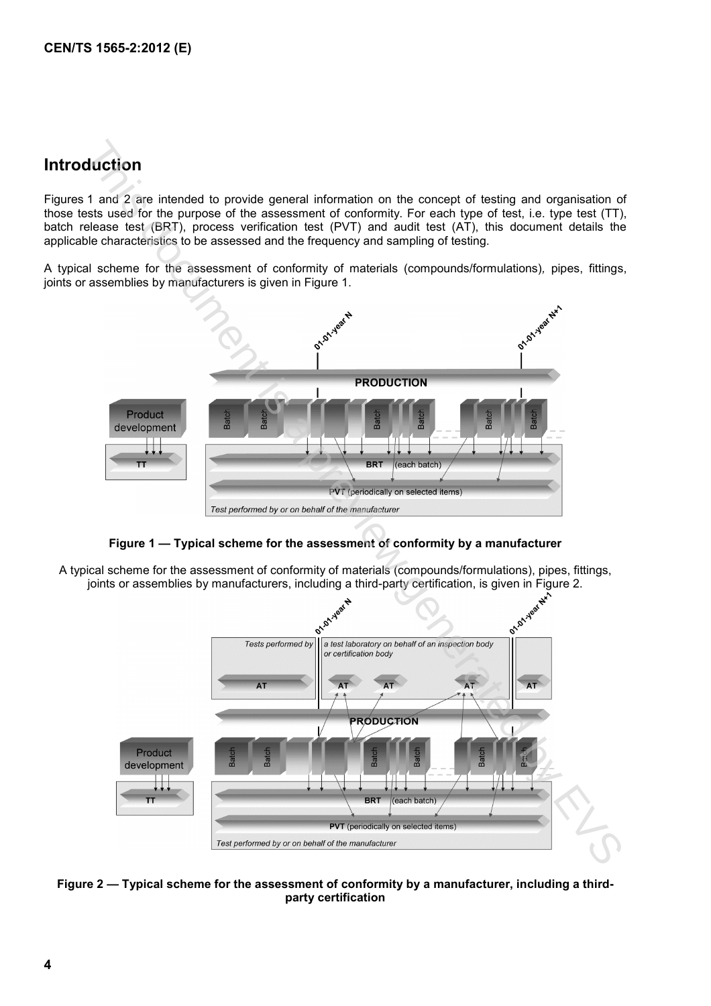## **Introduction**

Figures 1 and 2 are intended to provide general information on the concept of testing and organisation of those tests used for the purpose of the assessment of conformity. For each type of test, i.e. type test (TT), batch release test (BRT), process verification test (PVT) and audit test (AT), this document details the applicable characteristics to be assessed and the frequency and sampling of testing.

A typical scheme for the assessment of conformity of materials (compounds/formulations)*,* pipes, fittings, joints or assemblies by manufacturers is given in Figure 1.



### **Figure 1 — Typical scheme for the assessment of conformity by a manufacturer**

A typical scheme for the assessment of conformity of materials (compounds/formulations), pipes, fittings,



**Figure 2 — Typical scheme for the assessment of conformity by a manufacturer, including a thirdparty certification**